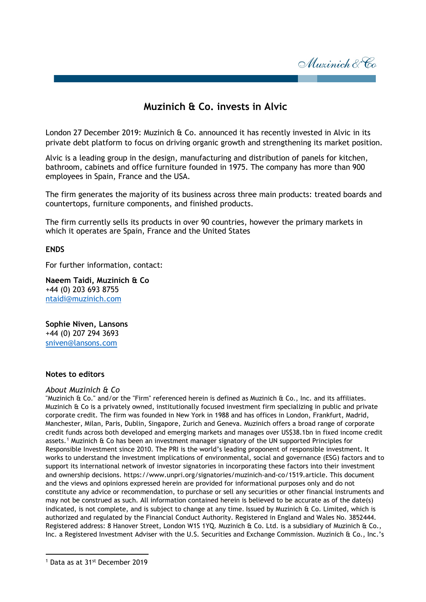Muzinich & Co

## **Muzinich & Co. invests in Alvic**

London 27 December 2019: Muzinich & Co. announced it has recently invested in Alvic in its private debt platform to focus on driving organic growth and strengthening its market position.

Alvic is a leading group in the design, manufacturing and distribution of panels for kitchen, bathroom, cabinets and office furniture founded in 1975. The company has more than 900 employees in Spain, France and the USA.

The firm generates the majority of its business across three main products: treated boards and countertops, furniture components, and finished products.

The firm currently sells its products in over 90 countries, however the primary markets in which it operates are Spain, France and the United States

## **ENDS**

For further information, contact:

**Naeem Taidi, Muzinich & Co** +44 (0) 203 693 8755 ntaidi@muzinich.com

**Sophie Niven, Lansons** +44 (0) 207 294 3693 [sniven@lansons.com](mailto:sniven@lansons.com)

## **Notes to editors**

## *About Muzinich & Co*

"Muzinich & Co." and/or the "Firm" referenced herein is defined as Muzinich & Co., Inc. and its affiliates. Muzinich & Co is a privately owned, institutionally focused investment firm specializing in public and private corporate credit. The firm was founded in New York in 1988 and has offices in London, Frankfurt, Madrid, Manchester, Milan, Paris, Dublin, Singapore, Zurich and Geneva. Muzinich offers a broad range of corporate credit funds across both developed and emerging markets and manages over US\$38.1bn in fixed income credit assets.[1](#page-0-0) Muzinich & Co has been an investment manager signatory of the UN supported Principles for Responsible Investment since 2010. The PRI is the world's leading proponent of responsible investment. It works to understand the investment implications of environmental, social and governance (ESG) factors and to support its international network of investor signatories in incorporating these factors into their investment and ownership decisions. https://www.unpri.org/signatories/muzinich-and-co/1519.article. This document and the views and opinions expressed herein are provided for informational purposes only and do not constitute any advice or recommendation, to purchase or sell any securities or other financial instruments and may not be construed as such. All information contained herein is believed to be accurate as of the date(s) indicated, is not complete, and is subject to change at any time. Issued by Muzinich & Co. Limited, which is authorized and regulated by the Financial Conduct Authority. Registered in England and Wales No. 3852444. Registered address: 8 Hanover Street, London W1S 1YQ. Muzinich & Co. Ltd. is a subsidiary of Muzinich & Co., Inc. a Registered Investment Adviser with the U.S. Securities and Exchange Commission. Muzinich & Co., Inc.'s

l

<span id="page-0-0"></span><sup>1</sup> Data as at 31st December 2019